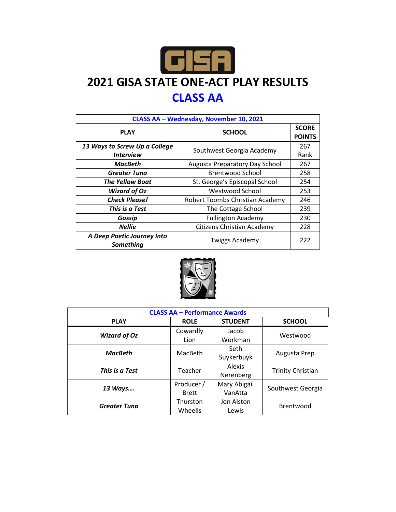

## **2021 GISA STATE ONE-ACT PLAY RESULTS CLASS AA**

| CLASS AA - Wednesday, November 10, 2021 |                                   |                               |  |  |
|-----------------------------------------|-----------------------------------|-------------------------------|--|--|
| <b>PLAY</b>                             | <b>SCHOOL</b>                     | <b>SCORE</b><br><b>POINTS</b> |  |  |
| 13 Ways to Screw Up a College           | Southwest Georgia Academy         | 267                           |  |  |
| <i><b>Interview</b></i>                 |                                   | Rank                          |  |  |
| MacBeth                                 | Augusta Preparatory Day School    | 267                           |  |  |
| Greater Tuna                            | <b>Brentwood School</b>           | 258                           |  |  |
| <b>The Yellow Boat</b>                  | St. George's Episcopal School     | 254                           |  |  |
| <b>Wizard of Oz</b>                     | Westwood School                   | 253                           |  |  |
| <b>Check Please!</b>                    | Robert Toombs Christian Academy   | 246                           |  |  |
| This is a Test                          | The Cottage School                | 239                           |  |  |
| Gossip                                  | <b>Fullington Academy</b>         | 230                           |  |  |
| <b>Nellie</b>                           | <b>Citizens Christian Academy</b> | 228                           |  |  |
| A Deep Poetic Journey Into<br>Something | <b>Twiggs Academy</b>             | 222                           |  |  |



| <b>CLASS AA - Performance Awards</b> |              |                |                          |  |  |
|--------------------------------------|--------------|----------------|--------------------------|--|--|
| <b>PLAY</b>                          | <b>ROLE</b>  | <b>STUDENT</b> | <b>SCHOOL</b>            |  |  |
| <b>Wizard of Oz</b>                  | Cowardly     | Jacob          | Westwood                 |  |  |
|                                      | Lion         | Workman        |                          |  |  |
| <b>MacBeth</b>                       | MacBeth      | Seth           | Augusta Prep             |  |  |
|                                      |              | Suykerbuyk     |                          |  |  |
| This is a Test                       | Teacher      | Alexis         |                          |  |  |
|                                      |              | Nerenberg      | <b>Trinity Christian</b> |  |  |
| 13 Ways                              | Producer /   | Mary Abigail   | Southwest Georgia        |  |  |
|                                      | <b>Brett</b> | VanAtta        |                          |  |  |
| <b>Greater Tuna</b>                  | Thurston     | Jon Alston     | Brentwood                |  |  |
|                                      | Wheelis      | Lewis          |                          |  |  |